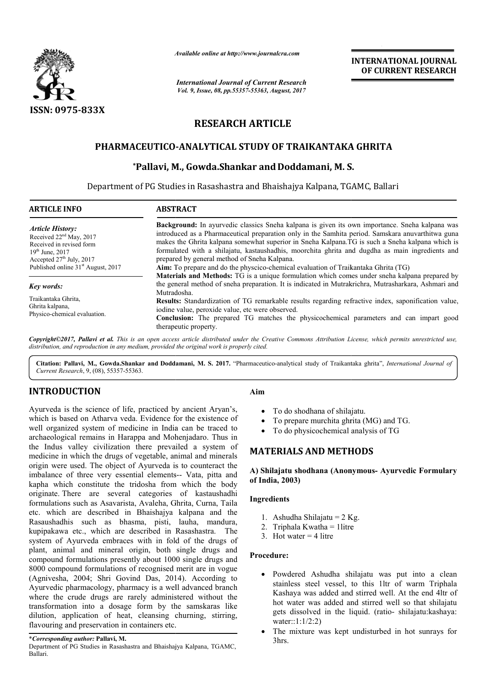

*Available online at http://www.journal http://www.journalcra.com*

# **RESEARCH ARTICLE**

# **PHARMACEUTICO -ANALYTICAL STUDY OF TRAIKANTAKA GHRITA ANALYTICAL TRAIKANTAKA GHRITA**

# **\*Pallavi, M. M., Gowda.Shankar and Doddamani, M. S S.**

|                                                                                                                                                                                                                     | лтините опине иг пир.// www.journuicru.com<br><b>International Journal of Current Research</b> | <b>INTERNATIONAL JOURNAL</b><br>OF CURRENT RESEARCH                                                                                                                                                                                                                                                                                                                                                                                                                                                                                                                                              |  |
|---------------------------------------------------------------------------------------------------------------------------------------------------------------------------------------------------------------------|------------------------------------------------------------------------------------------------|--------------------------------------------------------------------------------------------------------------------------------------------------------------------------------------------------------------------------------------------------------------------------------------------------------------------------------------------------------------------------------------------------------------------------------------------------------------------------------------------------------------------------------------------------------------------------------------------------|--|
|                                                                                                                                                                                                                     | Vol. 9, Issue, 08, pp.55357-55363, August, 2017                                                |                                                                                                                                                                                                                                                                                                                                                                                                                                                                                                                                                                                                  |  |
| ISSN: 0975-833X                                                                                                                                                                                                     |                                                                                                |                                                                                                                                                                                                                                                                                                                                                                                                                                                                                                                                                                                                  |  |
|                                                                                                                                                                                                                     | <b>RESEARCH ARTICLE</b>                                                                        |                                                                                                                                                                                                                                                                                                                                                                                                                                                                                                                                                                                                  |  |
|                                                                                                                                                                                                                     |                                                                                                | PHARMACEUTICO-ANALYTICAL STUDY OF TRAIKANTAKA GHRITA                                                                                                                                                                                                                                                                                                                                                                                                                                                                                                                                             |  |
|                                                                                                                                                                                                                     |                                                                                                | *Pallavi, M., Gowda.Shankar and Doddamani, M. S.                                                                                                                                                                                                                                                                                                                                                                                                                                                                                                                                                 |  |
|                                                                                                                                                                                                                     |                                                                                                | Department of PG Studies in Rasashastra and Bhaishajya Kalpana, TGAMC, Ballari                                                                                                                                                                                                                                                                                                                                                                                                                                                                                                                   |  |
|                                                                                                                                                                                                                     |                                                                                                |                                                                                                                                                                                                                                                                                                                                                                                                                                                                                                                                                                                                  |  |
| <b>ARTICLE INFO</b>                                                                                                                                                                                                 | <b>ABSTRACT</b>                                                                                |                                                                                                                                                                                                                                                                                                                                                                                                                                                                                                                                                                                                  |  |
| <b>Article History:</b><br>Received 22 <sup>nd</sup> May, 2017<br>Received in revised form<br>19 <sup>th</sup> June, 2017<br>Accepted 27 <sup>th</sup> July, 2017<br>Published online 31 <sup>st</sup> August, 2017 | prepared by general method of Sneha Kalpana.                                                   | Background: In ayurvedic classics Sneha kalpana is given its own importance. Sneha kalpana was<br>introduced as a Pharmaceutical preparation only in the Samhita period. Samskara anuvarthitwa guna<br>makes the Ghrita kalpana somewhat superior in Sneha Kalpana.TG is such a Sneha kalpana which is<br>formulated with a shilajatu, kastaushadhis, moorchita ghrita and dugdha as main ingredients and<br>Aim: To prepare and do the physcico-chemical evaluation of Traikantaka Ghrita (TG)<br>Materials and Methods: TG is a unique formulation which comes under sneha kalpana prepared by |  |
| <b>Key words:</b>                                                                                                                                                                                                   | Mutradosha.                                                                                    | the general method of sneha preparation. It is indicated in Mutrakrichra, Mutrasharkara, Ashmari and                                                                                                                                                                                                                                                                                                                                                                                                                                                                                             |  |
| Traikantaka Ghrita,<br>Ghrita kalpana,                                                                                                                                                                              |                                                                                                | Results: Standardization of TG remarkable results regarding refractive index, saponification value,                                                                                                                                                                                                                                                                                                                                                                                                                                                                                              |  |
| Physico-chemical evaluation.                                                                                                                                                                                        | iodine value, peroxide value, etc were observed.                                               | Conclusion: The prepared TG matches the physicochemical parameters and can impart good                                                                                                                                                                                                                                                                                                                                                                                                                                                                                                           |  |
|                                                                                                                                                                                                                     | therapeutic property.                                                                          | Copyright©2017, Pallavi et al. This is an open access article distributed under the Creative Commons Attribution License, which permits unrestricted use,                                                                                                                                                                                                                                                                                                                                                                                                                                        |  |
| distribution, and reproduction in any medium, provided the original work is properly cited.                                                                                                                         |                                                                                                |                                                                                                                                                                                                                                                                                                                                                                                                                                                                                                                                                                                                  |  |
| Current Research, 9, (08), 55357-55363.                                                                                                                                                                             |                                                                                                | Citation: Pallavi, M., Gowda.Shankar and Doddamani, M. S. 2017. "Pharmaceutico-analytical study of Traikantaka ghrita", International Journal of                                                                                                                                                                                                                                                                                                                                                                                                                                                 |  |
| <b>INTRODUCTION</b>                                                                                                                                                                                                 |                                                                                                | Aim                                                                                                                                                                                                                                                                                                                                                                                                                                                                                                                                                                                              |  |
| Ayurveda is the science of life, practiced by ancient Aryan's,                                                                                                                                                      |                                                                                                | To do shodhana of shilajatu.                                                                                                                                                                                                                                                                                                                                                                                                                                                                                                                                                                     |  |
| which is based on Atharya veda. Evidence for the existence of                                                                                                                                                       |                                                                                                | To prepare murchita ghrita (MG) and TG.                                                                                                                                                                                                                                                                                                                                                                                                                                                                                                                                                          |  |
| well organized system of medicine in India can be traced to<br>archaeological remains in Harappa and Mohenjadaro. Thus in                                                                                           |                                                                                                | To do physicochemical analysis of TG                                                                                                                                                                                                                                                                                                                                                                                                                                                                                                                                                             |  |
| the Indus valley civilization there prevailed a system of<br>medicine in which the drugs of vegetable, animal and minerals                                                                                          |                                                                                                | <b>MATERIALS AND METHODS</b>                                                                                                                                                                                                                                                                                                                                                                                                                                                                                                                                                                     |  |
| origin were used. The object of Ayurveda is to counteract the                                                                                                                                                       |                                                                                                | A) Shilajatu shodhana (Anonymous- Ayurvedic Formulary                                                                                                                                                                                                                                                                                                                                                                                                                                                                                                                                            |  |
| imbalance of three very essential elements-- Vata, pitta and<br>kapha which constitute the tridosha from which the body                                                                                             |                                                                                                | of India, 2003)                                                                                                                                                                                                                                                                                                                                                                                                                                                                                                                                                                                  |  |
| originate. There are several categories of kastaushadhi                                                                                                                                                             |                                                                                                | <b>Ingredients</b>                                                                                                                                                                                                                                                                                                                                                                                                                                                                                                                                                                               |  |
| formulations such as Asavarista, Avaleha, Ghrita, Curna, Taila<br>etc. which are described in Bhaishajya kalpana and the                                                                                            |                                                                                                |                                                                                                                                                                                                                                                                                                                                                                                                                                                                                                                                                                                                  |  |
| Rasaushadhis such as bhasma, pisti, lauha, mandura,<br>kupipakawa etc., which are described in Rasashastra.                                                                                                         |                                                                                                | 1. Ashudha Shilajatu = $2$ Kg.<br>2. Triphala Kwatha = 1litre                                                                                                                                                                                                                                                                                                                                                                                                                                                                                                                                    |  |
| system of Ayurveda embraces with in fold of the drugs of                                                                                                                                                            | The                                                                                            | 3. Hot water $=$ 4 litre                                                                                                                                                                                                                                                                                                                                                                                                                                                                                                                                                                         |  |
| plant, animal and mineral origin, both single drugs and                                                                                                                                                             |                                                                                                | Procedure:                                                                                                                                                                                                                                                                                                                                                                                                                                                                                                                                                                                       |  |
| compound formulations presently about 1000 single drugs and<br>8000 compound formulations of recognised merit are in vogue                                                                                          |                                                                                                |                                                                                                                                                                                                                                                                                                                                                                                                                                                                                                                                                                                                  |  |
| (Agnivesha, 2004; Shri Govind Das, 2014). According to                                                                                                                                                              |                                                                                                | Powdered Ashudha shilajatu was put into a clean<br>stainless steel vessel, to this 1ltr of warm Triphala                                                                                                                                                                                                                                                                                                                                                                                                                                                                                         |  |
| Ayurvedic pharmacology, pharmacy is a well advanced branch<br>where the crude drugs are rarely administered without the                                                                                             |                                                                                                | Kashaya was added and stirred well. At the end 4ltr of                                                                                                                                                                                                                                                                                                                                                                                                                                                                                                                                           |  |
| transformation into a dosage form by the samskaras like<br>dilution, application of heat, cleansing churning, stirring,                                                                                             |                                                                                                | hot water was added and stirred well so that shilajatu<br>gets dissolved in the liquid. (ratio-shilajatu: kashaya:                                                                                                                                                                                                                                                                                                                                                                                                                                                                               |  |
| flavouring and preservation in containers etc.                                                                                                                                                                      |                                                                                                | water:: $1:1/2:2$ )<br>The mixture was kept undisturbed in hot sunrays for<br>$\bullet$                                                                                                                                                                                                                                                                                                                                                                                                                                                                                                          |  |
|                                                                                                                                                                                                                     |                                                                                                |                                                                                                                                                                                                                                                                                                                                                                                                                                                                                                                                                                                                  |  |

# **INTRODUCTION**

#### Department of PG Studies in Rasashastra and Bhaishajya Kalpana, TGAMC, Ballari.

- To do shodhana of shilajatu.
- To do shodhana of shilajatu.<br>• To prepare murchita ghrita (MG) and TG.
- To do physicochemical analysis of TG

# **MATERIALS AND METHODS METHODS**

# **A) Shilajatu shodhana (Anonymous Anonymous- Ayurvedic Formulary of India, 2003)**

# **Ingredients**

- 1. Ashudha Shilajatu =  $2$  Kg.
- 2. Triphala Kwatha = 1litre 1litre
- 3. Hot water  $=$  4 litre

#### **Procedure:**

- Powdered Ashudha shilajatu was put into a clean stainless steel vessel, to this 1ltr of warm Triphala Kashaya was added and stirred well. At the end 4ltr of hot water was added and stirred well so that shilajatu gets dissolved in the liquid. (ratio water::1:1/2:2) less steel vessel, to this 1ltr of warm Triphala<br>aya was added and stirred well. At the end 4ltr of<br>vater was added and stirred well so that shilajatu<br>dissolved in the liquid. (ratio-shilajatu:kashaya:
- The mixture was kept undisturbed in hot sunrays for 3hrs.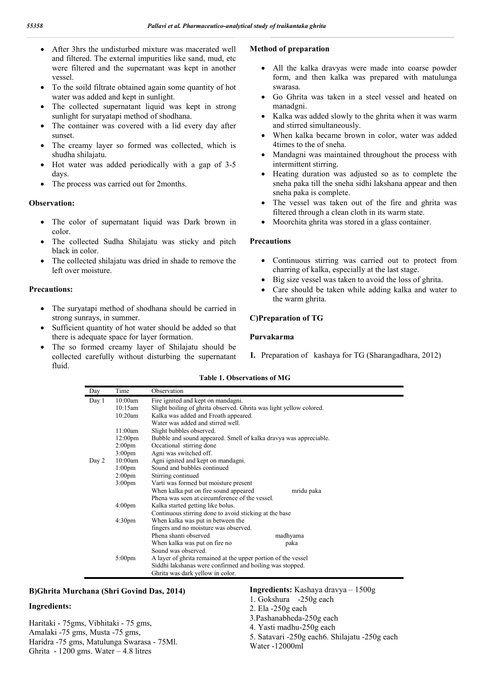- After 3hrs the undisturbed mixture was macerated well and filtered. The external impurities like sand, mud, etc were filtered and the supernatant was kept in another vessel.
- To the soild filtrate obtained again some quantity of hot water was added and kept in sunlight.
- The collected supernatant liquid was kept in strong sunlight for suryatapi method of shodhana.
- The container was covered with a lid every day after sunset.
- The creamy layer so formed was collected, which is shudha shilajatu.
- Hot water was added periodically with a gap of 3-5 days.
- The process was carried out for 2months.

# **Observation:**

- The color of supernatant liquid was Dark brown in color.
- The collected Sudha Shilajatu was sticky and pitch black in color.
- The collected shilajatu was dried in shade to remove the left over moisture.

# **Precautions:**

- The suryatapi method of shodhana should be carried in strong sunrays, in summer.
- Sufficient quantity of hot water should be added so that there is adequate space for layer formation.
- The so formed creamy layer of Shilajatu should be collected carefully without disturbing the supernatant fluid.

# **Method of preparation**

- All the kalka dravyas were made into coarse powder form, and then kalka was prepared with matulunga swarasa.
- Go Ghrita was taken in a steel vessel and heated on manadgni.
- Kalka was added slowly to the ghrita when it was warm and stirred simultaneously.
- When kalka became brown in color, water was added 4times to the of sneha.
- Mandagni was maintained throughout the process with intermittent stirring.
- Heating duration was adjusted so as to complete the sneha paka till the sneha sidhi lakshana appear and then sneha paka is complete.
- The vessel was taken out of the fire and ghrita was filtered through a clean cloth in its warm state.
- Moorchita ghrita was stored in a glass container.

# **Precautions**

- Continuous stirring was carried out to protect from charring of kalka, especially at the last stage.
- Big size vessel was taken to avoid the loss of ghrita.
- Care should be taken while adding kalka and water to the warm ghrita.

# **C)Preparation of TG**

# **Purvakarma**

**I.** Preparation of kashaya for TG (Sharangadhara, 2012)

## **Table 1. Observations of MG**

| Day   | Time                | Observation                                                         |            |
|-------|---------------------|---------------------------------------------------------------------|------------|
| Day 1 | 10:00am             | Fire ignited and kept on mandagni.                                  |            |
|       | 10:15am             | Slight boiling of ghrita observed. Ghrita was light yellow colored. |            |
|       | 10:20am             | Kalka was added and Froath appeared.                                |            |
|       |                     | Water was added and stirred well.                                   |            |
|       | 11:00am             | Slight bubbles observed.                                            |            |
|       | 12:00 <sub>pm</sub> | Bubble and sound appeared. Smell of kalka dravya was appreciable.   |            |
|       | $2:00 \text{pm}$    | Occational stirring done                                            |            |
|       | 3:00 <sub>pm</sub>  | Agni was switched off.                                              |            |
| Day 2 | 10:00am             | Agni ignited and kept on mandagni.                                  |            |
|       | 1:00 <sub>pm</sub>  | Sound and bubbles continued                                         |            |
|       | $2:00 \text{pm}$    | Stirring continued                                                  |            |
|       | 3:00 <sub>pm</sub>  | Varti was formed but moisture present                               |            |
|       |                     | When kalka put on fire sound appeared                               | mridu paka |
|       |                     | Phena was seen at circumference of the vessel.                      |            |
|       | 4:00 <sub>pm</sub>  | Kalka started getting like bolus.                                   |            |
|       |                     | Continuous stirring done to avoid sticking at the base              |            |
|       | 4:30 <sub>pm</sub>  | When kalka was put in between the                                   |            |
|       |                     | fingers and no moisture was observed.                               |            |
|       |                     | Phena shanti observed                                               | madhyama   |
|       |                     | When kalka was put on fire no                                       | paka       |
|       |                     | Sound was observed.                                                 |            |
|       | $5:00 \text{pm}$    | A layer of ghrita remained at the upper portion of the vessel       |            |
|       |                     | Siddhi lakshanas were confirmed and boiling was stopped.            |            |
|       |                     | Ghrita was dark yellow in color.                                    |            |

# **B)Ghrita Murchana (Shri Govind Das, 2014)**

## **Ingredients:**

Haritaki - 75gms, Vibhitaki - 75 gms, Amalaki -75 gms, Musta -75 gms, Haridra -75 gms, Matulunga Swarasa - 75Ml. Ghrita - 1200 gms. Water  $-4.8$  litres

# **Ingredients:** Kashaya dravya – 1500g

- 1. Gokshura -250g each
- 2. Ela -250g each
- 3.Pashanabheda-250g each
- 4. Yasti madhu-250g each
- 5. Satavari -250g each6. Shilajatu -250g each Water -12000ml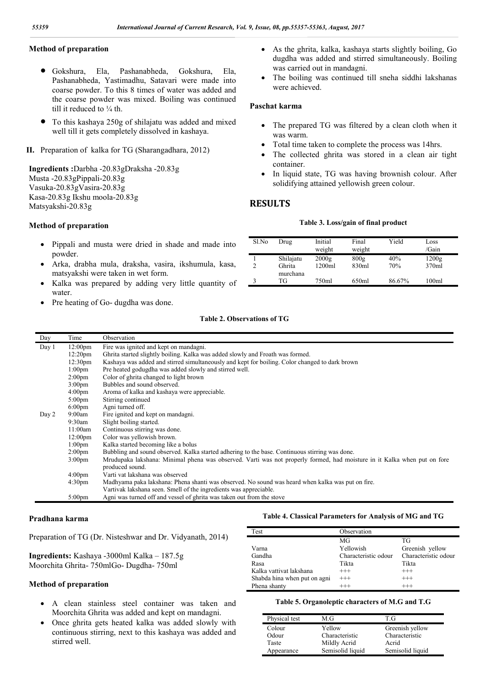# **Method of preparation**

- Gokshura, Ela, Pashanabheda, Gokshura, Ela, Pashanabheda, Yastimadhu, Satavari were made into coarse powder. To this 8 times of water was added and the coarse powder was mixed. Boiling was continued till it reduced to  $\frac{1}{4}$  th.
- To this kashaya 250g of shilajatu was added and mixed well till it gets completely dissolved in kashaya.
- **II.** Preparation of kalka for TG (Sharangadhara, 2012)

**Ingredients :**Darbha -20.83gDraksha -20.83g Musta -20.83gPippali-20.83g Vasuka-20.83gVasira-20.83g Kasa-20.83g Ikshu moola-20.83g Matsyakshi-20.83g

#### **Method of preparation**

- Pippali and musta were dried in shade and made into powder.
- Arka, drabha mula, draksha, vasira, ikshumula, kasa, matsyakshi were taken in wet form.
- Kalka was prepared by adding very little quantity of water.
- Pre heating of Go- dugdha was done.
- As the ghrita, kalka, kashaya starts slightly boiling, Go dugdha was added and stirred simultaneously. Boiling was carried out in mandagni.
- The boiling was continued till sneha siddhi lakshanas were achieved.

# **Paschat karma**

- The prepared TG was filtered by a clean cloth when it was warm.
- Total time taken to complete the process was 14hrs.
- The collected ghrita was stored in a clean air tight container.
- In liquid state, TG was having brownish colour. After solidifying attained yellowish green colour.

# **RESULTS**

#### **Table 3. Loss/gain of final product**

| Sl.No          | Drug                | Initial<br>weight | Final<br>weight | Yield      | Loss<br>/Gain  |
|----------------|---------------------|-------------------|-----------------|------------|----------------|
| $\overline{c}$ | Shilajatu<br>Ghrita | 2000g<br>1200ml   | 800g<br>830ml   | 40%<br>70% | 1200g<br>370ml |
| ٩              | murchana<br>TG      | 750ml             | 650ml           | 86.67%     | 100ml          |

#### **Table 2. Observations of TG**

| Day   | Time                | Observation                                                                                                                                 |
|-------|---------------------|---------------------------------------------------------------------------------------------------------------------------------------------|
| Day 1 | 12:00 <sub>pm</sub> | Fire was ignited and kept on mandagni.                                                                                                      |
|       | 12:20 <sub>pm</sub> | Ghrita started slightly boiling. Kalka was added slowly and Froath was formed.                                                              |
|       | 12:30 <sub>pm</sub> | Kashaya was added and stirred simultaneously and kept for boiling. Color changed to dark brown                                              |
|       | 1:00 <sub>pm</sub>  | Pre heated godugdha was added slowly and stirred well.                                                                                      |
|       | 2:00 <sub>pm</sub>  | Color of ghrita changed to light brown                                                                                                      |
|       | 3:00 <sub>pm</sub>  | Bubbles and sound observed.                                                                                                                 |
|       | 4:00 <sub>pm</sub>  | Aroma of kalka and kashaya were appreciable.                                                                                                |
|       | $5:00 \text{pm}$    | Stirring continued                                                                                                                          |
|       | $6:00 \text{pm}$    | Agni turned off.                                                                                                                            |
| Day 2 | 9:00am              | Fire ignited and kept on mandagni.                                                                                                          |
|       | 9:30am              | Slight boiling started.                                                                                                                     |
|       | 11:00am             | Continuous stirring was done.                                                                                                               |
|       | 12:00 <sub>pm</sub> | Color was yellowish brown.                                                                                                                  |
|       | 1:00 <sub>pm</sub>  | Kalka started becoming like a bolus                                                                                                         |
|       | $2:00 \text{pm}$    | Bubbling and sound observed. Kalka started adhering to the base. Continuous stirring was done.                                              |
|       | 3:00 <sub>pm</sub>  | Mrudupaka lakshana: Minimal phena was observed. Varti was not properly formed, had moisture in it Kalka when put on fore<br>produced sound. |
|       | 4:00 <sub>pm</sub>  | Varti vat lakshana was observed                                                                                                             |
|       | 4:30 <sub>pm</sub>  | Madhyama paka lakshana: Phena shanti was observed. No sound was heard when kalka was put on fire.                                           |
|       |                     | Vartivak lakshana seen. Smell of the ingredients was appreciable.                                                                           |
|       | 5:00 <sub>pm</sub>  | Agni was turned off and vessel of ghrita was taken out from the stove                                                                       |
|       |                     |                                                                                                                                             |

#### **Pradhana karma**

Preparation of TG (Dr. Nisteshwar and Dr. Vidyanath, 2014)

**Ingredients:** Kashaya -3000ml Kalka – 187.5g Moorchita Ghrita- 750mlGo- Dugdha- 750ml

# **Method of preparation**

- A clean stainless steel container was taken and Moorchita Ghrita was added and kept on mandagni.
- Once ghrita gets heated kalka was added slowly with continuous stirring, next to this kashaya was added and stirred well.

#### **Table 4. Classical Parameters for Analysis of MG and TG**

| Test                         | Observation          |                      |
|------------------------------|----------------------|----------------------|
|                              | МG                   | TG                   |
| Varna                        | Yellowish            | Greenish yellow      |
| Gandha                       | Characteristic odour | Characteristic odour |
| Rasa                         | Tikta                | Tikta                |
| Kalka vattivat lakshana      | $^{+++}$             | $^{+++}$             |
| Shabda hina when put on agni | $^{+++}$             | $^{+++}$             |
| Phena shanty                 |                      |                      |

#### **Table 5. Organoleptic characters of M.G and T.G**

| Physical test | M.G              | ТG               |
|---------------|------------------|------------------|
| Colour        | Yellow           | Greenish yellow  |
| Odour         | Characteristic   | Characteristic   |
| Taste         | Mildly Acrid     | Acrid            |
| Appearance    | Semisolid liquid | Semisolid liquid |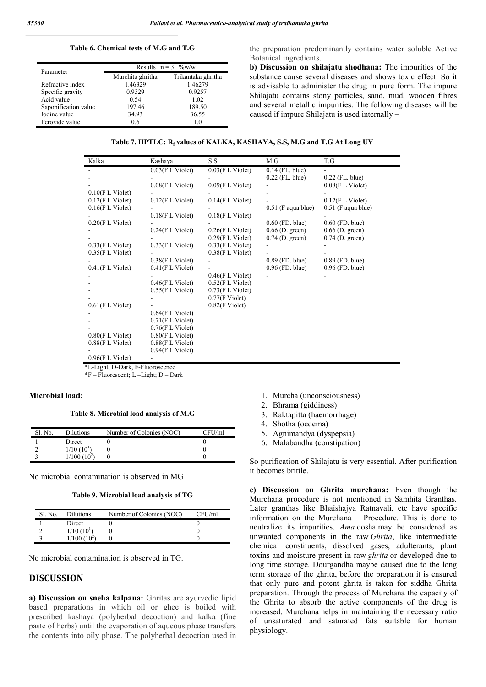**Table 6. Chemical tests of M.G and T.G**

| Parameter            |                  | Results $n = 3$ %w/w |
|----------------------|------------------|----------------------|
|                      | Murchita ghritha | Trikantaka ghritha   |
| Refractive index     | 1.46329          | 1.46279              |
| Specific gravity     | 0.9329           | 0.9257               |
| Acid value           | 0.54             | 1.02                 |
| Saponification value | 197.46           | 189.50               |
| Iodine value         | 34.93            | 36.55                |
| Peroxide value       | 0.6              | 1.0                  |

the preparation predominantly contains water soluble Active Botanical ingredients.

**b) Discussion on shilajatu shodhana:** The impurities of the substance cause several diseases and shows toxic effect. So it is advisable to administer the drug in pure form. The impure Shilajatu contains stony particles, sand, mud, wooden fibres and several metallic impurities. The following diseases will be caused if impure Shilajatu is used internally –

| Table 7. HPTLC: R <sub>f</sub> values of KALKA, KASHAYA, S.S, M.G and T.G At Long UV |  |
|--------------------------------------------------------------------------------------|--|
|--------------------------------------------------------------------------------------|--|

| Kalka               | Kashaya             | S.S                 | M.G                  | T.G                  |
|---------------------|---------------------|---------------------|----------------------|----------------------|
|                     | $0.03$ (F L Violet) | $0.03$ (F L Violet) | $0.14$ (FL. blue)    |                      |
|                     |                     |                     | $0.22$ (FL. blue)    | $0.22$ (FL. blue)    |
|                     | $0.08$ (F L Violet) | $0.09$ (F L Violet) |                      | $0.08$ (F L Violet)  |
| $0.10$ (F L Violet) |                     |                     |                      |                      |
| $0.12$ (F L Violet) | $0.12$ (F L Violet) | $0.14$ (F L Violet) |                      | $0.12$ (F L Violet)  |
| $0.16$ (F L Violet) |                     |                     | $0.51$ (F aqua blue) | $0.51$ (F aqua blue) |
|                     | $0.18$ (F L Violet) | $0.18$ (F L Violet) |                      |                      |
| $0.20$ (F L Violet) |                     |                     | $0.60$ (FD. blue)    | $0.60$ (FD. blue)    |
|                     | $0.24$ (F L Violet) | $0.26$ (F L Violet) | $0.66$ (D. green)    | $0.66$ (D. green)    |
|                     |                     | 0.29(F L Violet)    | $0.74$ (D. green)    | $0.74$ (D. green)    |
| $0.33$ (F L Violet) | $0.33$ (F L Violet) | $0.33$ (F L Violet) |                      |                      |
| $0.35$ (F L Violet) |                     | $0.38$ (F L Violet) |                      |                      |
|                     | $0.38$ (F L Violet) |                     | $0.89$ (FD. blue)    | $0.89$ (FD. blue)    |
| $0.41$ (F L Violet) | $0.41$ (F L Violet) |                     | $0.96$ (FD. blue)    | 0.96 (FD. blue)      |
|                     |                     | $0.46$ (F L Violet) |                      |                      |
|                     | $0.46$ (F L Violet) | $0.52$ (F L Violet) |                      |                      |
|                     | $0.55$ (F L Violet) | $0.73$ (F L Violet) |                      |                      |
|                     |                     | $0.77(F$ Violet)    |                      |                      |
| $0.61$ (F L Violet) |                     | $0.82$ (F Violet)   |                      |                      |
|                     | $0.64$ (F L Violet) |                     |                      |                      |
|                     | $0.71$ (F L Violet) |                     |                      |                      |
|                     | $0.76$ (F L Violet) |                     |                      |                      |
| $0.80$ (F L Violet) | $0.80$ (F L Violet) |                     |                      |                      |
| $0.88$ (F L Violet) | $0.88$ (F L Violet) |                     |                      |                      |
|                     | $0.94$ (F L Violet) |                     |                      |                      |
| $0.96$ (F L Violet) |                     |                     |                      |                      |

\*L-Light, D-Dark, F-Fluoroscence

 $*F$  – Fluorescent; L – Light; D – Dark

#### **Microbial load:**

**Table 8. Microbial load analysis of M.G**

| Sl. No. | <b>Dilutions</b>       | Number of Colonies (NOC) | CFU/ml |
|---------|------------------------|--------------------------|--------|
|         | Direct                 |                          |        |
|         | 1/10(10 <sup>1</sup> ) |                          |        |
|         | $1/100(10^2)$          |                          |        |

No microbial contamination is observed in MG

**Table 9. Microbial load analysis of TG**

| Sl. No. | <b>Dilutions</b>       | Number of Colonies (NOC) | CFU/ml |
|---------|------------------------|--------------------------|--------|
|         | Direct                 |                          |        |
|         | 1/10(10 <sup>1</sup> ) |                          |        |
|         | $1/100(10^2)$          |                          |        |

No microbial contamination is observed in TG.

# **DISCUSSION**

**a) Discussion on sneha kalpana:** Ghritas are ayurvedic lipid based preparations in which oil or ghee is boiled with prescribed kashaya (polyherbal decoction) and kalka (fine paste of herbs) until the evaporation of aqueous phase transfers the contents into oily phase. The polyherbal decoction used in

- 1. Murcha (unconsciousness)
- 2. Bhrama (giddiness)
- 3. Raktapitta (haemorrhage)
- 4. Shotha (oedema)
- 5. Agnimandya (dyspepsia)
- 6. Malabandha (constipation)

So purification of Shilajatu is very essential. After purification it becomes brittle.

**c) Discussion on Ghrita murchana:** Even though the Murchana procedure is not mentioned in Samhita Granthas. Later granthas like Bhaishajya Ratnavali, etc have specific information on the Murchana Procedure. This is done to neutralize its impurities. *Ama* dosha may be considered as unwanted components in the raw *Ghrita*, like intermediate chemical constituents, dissolved gases, adulterants, plant toxins and moisture present in raw *ghrita* or developed due to long time storage. Dourgandha maybe caused due to the long term storage of the ghrita, before the preparation it is ensured that only pure and potent ghrita is taken for siddha Ghrita preparation. Through the process of Murchana the capacity of the Ghrita to absorb the active components of the drug is increased. Murchana helps in maintaining the necessary ratio of unsaturated and saturated fats suitable for human physiology.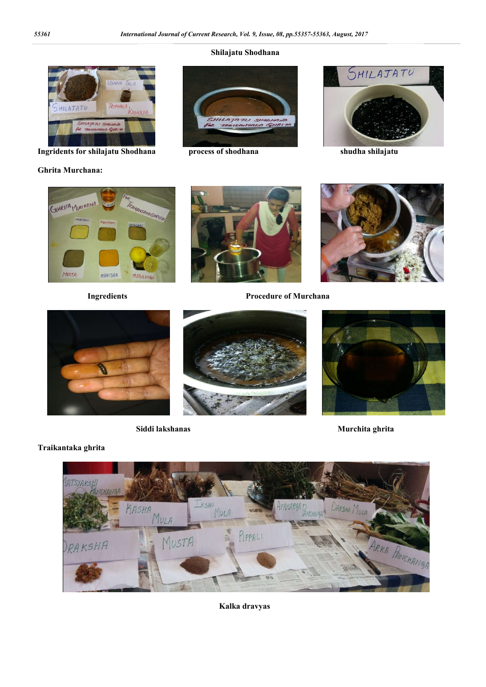# **Shilajatu Shodhana**



**Ingridents for shilajatu Shodhana process of shodhana** shudha shilajatu

# **Ghrita Murchana:**









**Ingredients** Procedure of Murchana





**Traikantaka ghrita**





VAKSH KASHA<br>KASHA<br>MULA KSHU HPAMARGA MULA ANCHANGA PIPPALI ARKA PANCHANGA MUSTA KSHA

**Kalka dravyas**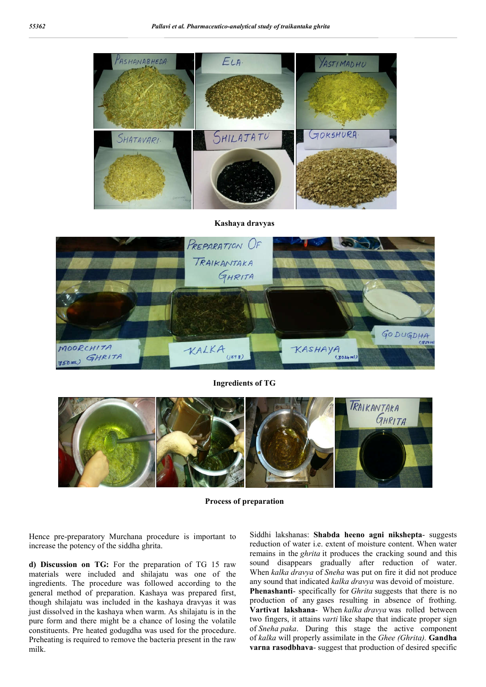

#### **Kashaya dravyas**



#### **Ingredients of TG**



**Process of preparation**

Hence pre-preparatory Murchana procedure is important to increase the potency of the siddha ghrita.

**d) Discussion on TG:** For the preparation of TG 15 raw materials were included and shilajatu was one of the ingredients. The procedure was followed according to the general method of preparation. Kashaya was prepared first, though shilajatu was included in the kashaya dravyas it was just dissolved in the kashaya when warm. As shilajatu is in the pure form and there might be a chance of losing the volatile constituents. Pre heated godugdha was used for the procedure. Preheating is required to remove the bacteria present in the raw milk.

Siddhi lakshanas: **Shabda heeno agni nikshepta**- suggests reduction of water i.e. extent of moisture content. When water remains in the *ghrita* it produces the cracking sound and this sound disappears gradually after reduction of water. When *kalka dravya* of *Sneha* was put on fire it did not produce any sound that indicated *kalka dravya* was devoid of moisture. **Phenashanti**- specifically for *Ghrita* suggests that there is no production of any gases resulting in absence of frothing. **Vartivat lakshana**- When *kalka dravya* was rolled between two fingers, it attains *varti* like shape that indicate proper sign of *Sneha paka*. During this stage the active component of *kalka* will properly assimilate in the *Ghee (Ghrita).* **Gandha varna rasodbhava**- suggest that production of desired specific